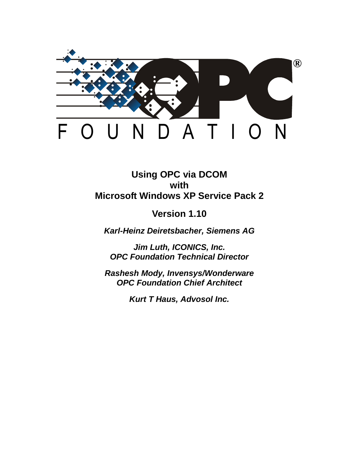

**Version 1.10**

**Karl-Heinz Deiretsbacher, Siemens AG**

**Jim Luth, ICONICS, Inc. OPC Foundation Technical Director**

**Rashesh Mody, Invensys/Wonderware OPC Foundation Chief Architect**

**Kurt T Haus, Advosol Inc.**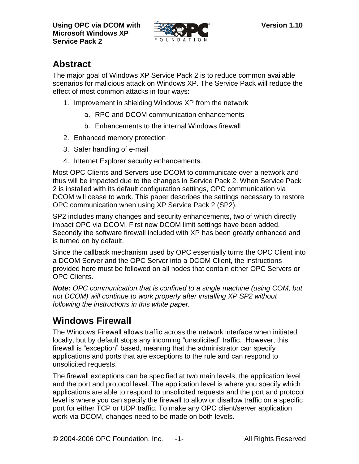

# **Abstract**

The major goal of Windows XP Service Pack 2 is to reduce common available scenarios for malicious attack on Windows XP. The Service Pack will reduce the effect of most common attacks in four ways:

- 1. Improvement in shielding Windows XP from the network
	- a. RPC and DCOM communication enhancements
	- b. Enhancements to the internal Windows firewall
- 2. Enhanced memory protection
- 3. Safer handling of e-mail
- 4. Internet Explorer security enhancements.

Most OPC Clients and Servers use DCOM to communicate over a network and thus will be impacted due to the changes in Service Pack 2. When Service Pack 2 is installed with its default configuration settings, OPC communication via DCOM will cease to work. This paper describes the settings necessary to restore OPC communication when using XP Service Pack 2 (SP2).

SP2 includes many changes and security enhancements, two of which directly impact OPC via DCOM. First new DCOM limit settings have been added. Secondly the software firewall included with XP has been greatly enhanced and is turned on by default.

Since the callback mechanism used by OPC essentially turns the OPC Client into a DCOM Server and the OPC Server into a DCOM Client, the instructions provided here must be followed on all nodes that contain either OPC Servers or OPC Clients.

**Note:** OPC communication that is confined to a single machine (using COM, but not DCOM) will continue to work properly after installing XP SP2 without following the instructions in this white paper.

# **Windows Firewall**

The Windows Firewall allows traffic across the network interface when initiated **Windows Firewall**<br>The Windows Firewall allows traffic across the network interface when initiated<br>locally, but by default stops any incoming "unsolicited" traffic. However, this The Windows Firewall allows traffic across the network interface when initiated<br>locally, but by default stops any incoming "unsolicited" traffic. However, this<br>firewall is "exception" based, meaning that the administrator applications and ports that are exceptions to the rule and can respond to unsolicited requests.

work via DCOM, changes need to be made on both levels. The firewall exceptions can be specified at two main levels, the application level and the port and protocol level. The application level is where you specify which applications are able to respond to unsolicited requests and the portand protocol level is where you can specify the firewall to allow or disallow traffic on a specific port for either TCP or UDP traffic. To make any OPC client/server application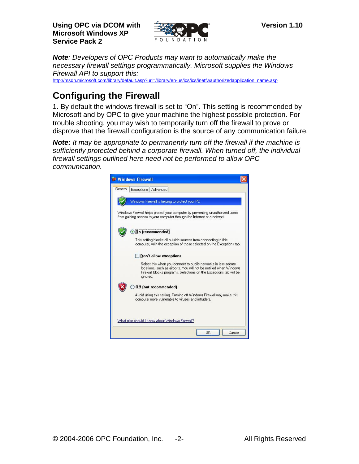

**Note**: Developers of OPC Products may want to automatically make the necessary firewall settings programmatically. Microsoft supplies the Windows Firewall API to support this:

[http://msdn.microsoft.com/library/default.asp?url=/library/en-us/ics/ics/inetfwauthorizedapplication\\_name.asp](https://msdn.microsoft.com/library/default.asp?url=/library/en-us/ics/ics/inetfwauthorizedapplication_name.asp)

# **Configuring the Firewall**

1. By default the windows firewall is set to "On". This setting is recommended by Microsoft and by OPC to give your machine the highest possible protection. For trouble shooting, you may wish to temporarily turn off the firewall to prove or disprove that the firewall configuration is the source of any communication failure.

**Note:** It may be appropriate to permanently turn off the firewall if the machine is sufficiently protected behind a corporate firewall. When turned off, the individual firewall settings outlined here need not be performed to allow OPC communication.

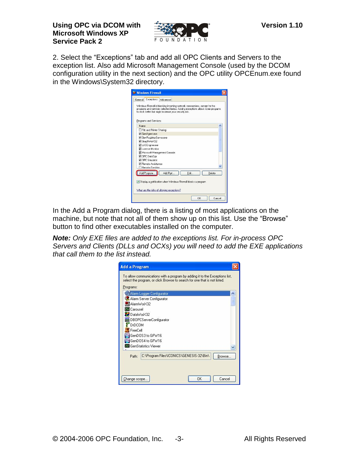

2. Select the "Exceptions" tab and add all OPC Clients and Servers to the exception list. Also add Microsoft Management Console (used by the DCOM configuration utility in the next section) and the OPC utility OPCEnum.exe found in the Windows\System32 directory.

| <b>Windows Firewall</b>                                                         |                                                                                                                                                           |  |
|---------------------------------------------------------------------------------|-----------------------------------------------------------------------------------------------------------------------------------------------------------|--|
| <b>Exceptions</b><br>General                                                    | Advanced                                                                                                                                                  |  |
| to work better but might increase your security risk.<br>Programs and Services: | Windows Firewall is blocking incoming network connections, except for the<br>programs and services selected below. Adding exceptions allows some programs |  |
| Name                                                                            |                                                                                                                                                           |  |
| File and Printer Sharing                                                        |                                                                                                                                                           |  |
| GenAgent.exe                                                                    |                                                                                                                                                           |  |
| GenRegistrarServer.exe                                                          |                                                                                                                                                           |  |
| ■ GraphWorX32                                                                   |                                                                                                                                                           |  |
| □ LASEngine.exe                                                                 |                                                                                                                                                           |  |
| <b>⊽</b> License Monitor                                                        |                                                                                                                                                           |  |
| Microsoft Management Console                                                    |                                                                                                                                                           |  |
| OPC DataSpy                                                                     |                                                                                                                                                           |  |
| <b>⊽</b> OPC Simulator                                                          |                                                                                                                                                           |  |
| Remote Assistance                                                               |                                                                                                                                                           |  |
| <b>Campia Deskton</b>                                                           |                                                                                                                                                           |  |
| Add Program                                                                     | Add Port<br>Edit<br>Delete                                                                                                                                |  |
|                                                                                 |                                                                                                                                                           |  |
|                                                                                 | Display a notification when Windows Firewall blocks a program                                                                                             |  |
| What are the risks of allowing exceptions?                                      |                                                                                                                                                           |  |
|                                                                                 | n <sub>K</sub><br>Cancel                                                                                                                                  |  |

In the Add a Program dialog, there is a listing of most applications on the <u>star all on the Add a Program dialog, there is a listing of most applications on the in</u><br>that note that not all of them show up on this list. Use the "Browse"<br>machine, but note that not all of them show up on this list. button to find other executables installed on the computer.

**Note:** Only EXE files are added to the exceptions list. For in-process OPC Servers and Clients (DLLs and OCXs) you will need to add the EXE applications that call them to the list instead.

| <b>Add a Program</b> |                                                                                                                                                          |  |
|----------------------|----------------------------------------------------------------------------------------------------------------------------------------------------------|--|
|                      | To allow communications with a program by adding it to the Exceptions list,<br>select the program, or click Browse to search for one that is not listed. |  |
| Programs:            |                                                                                                                                                          |  |
|                      | Alarm Logger Configurator<br>LAlarm Server Configurator                                                                                                  |  |
| AlarmWorX32          |                                                                                                                                                          |  |
| <b>Zal</b> Carousel  |                                                                                                                                                          |  |
| DataWorX32           |                                                                                                                                                          |  |
|                      | DBOPCServerConfigurator                                                                                                                                  |  |
| <b>DrDCOM</b>        |                                                                                                                                                          |  |
| FreeCell             |                                                                                                                                                          |  |
|                      | GenDOS3 to GFW16                                                                                                                                         |  |
|                      | GenDOS4 to GFW16                                                                                                                                         |  |
|                      | <b>Bal GenStatistics Viewer</b>                                                                                                                          |  |
| Path:                | C:\Program Files\ICONICS\GENESIS-32\Bin\<br>Browse                                                                                                       |  |
| Change scope         | OK<br>Cancel                                                                                                                                             |  |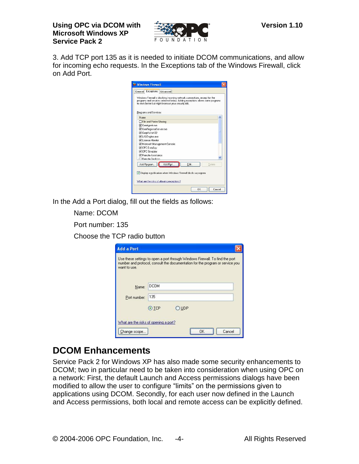

3. Add TCP port 135 as it is needed to initiate DCOM communications, and allow for incoming echo requests. In the Exceptions tab of the Windows Firewall, click on Add Port.

| <b>St Windows Firewall</b>                                                                                                                                                                                                                   |  |
|----------------------------------------------------------------------------------------------------------------------------------------------------------------------------------------------------------------------------------------------|--|
| Exceptions<br>Advanced<br>General                                                                                                                                                                                                            |  |
| Windows Firewall is blocking incoming network connections, except for the<br>programs and services selected below. Adding exceptions allows some programs<br>to work better but might increase your security risk.<br>Programs and Services: |  |
| Name                                                                                                                                                                                                                                         |  |
| File and Printer Sharing                                                                                                                                                                                                                     |  |
| <b>☑</b> GenAgent.exe                                                                                                                                                                                                                        |  |
| GenRegistrarServer.exe                                                                                                                                                                                                                       |  |
| ☑ GraphWorX32                                                                                                                                                                                                                                |  |
| <b>ØLASEngine.exe</b>                                                                                                                                                                                                                        |  |
| <b>⊽</b> License Monitor                                                                                                                                                                                                                     |  |
| Microsoft Management Console                                                                                                                                                                                                                 |  |
| <b>☑</b> OPC DataSpy                                                                                                                                                                                                                         |  |
| <b>MIDEC Simulator</b>                                                                                                                                                                                                                       |  |
| <b>N</b> Remote Assistance                                                                                                                                                                                                                   |  |
| Remote Deskton                                                                                                                                                                                                                               |  |
| Add Port<br>Delete<br>Edit<br>Add Program                                                                                                                                                                                                    |  |
| Display a notification when Windows Firewall blocks a program                                                                                                                                                                                |  |
| What are the risks of allowing exceptions?                                                                                                                                                                                                   |  |
| <b>nk</b><br>Cancel                                                                                                                                                                                                                          |  |

In the Add a Port dialog, fill out the fields as follows:

Name: DCOM

Port number: 135

Choose the TCP radio button

| want to use. | Use these settings to open a port through Windows Firewall. To find the port<br>number and protocol, consult the documentation for the program or service you |  |
|--------------|---------------------------------------------------------------------------------------------------------------------------------------------------------------|--|
| Name:        | DCOM                                                                                                                                                          |  |
| Port number: | 135                                                                                                                                                           |  |
|              |                                                                                                                                                               |  |

## **DCOM Enhancements**

Service Pack 2 for Windows XP has also made some security enhancements to DCOM; two in particular need to be taken into consideration when using OPC on<br>a network: First, the default Launch and Access permissions dialogs have been<br>modified to allow the user to configure "limits" on the permission a network: First, the default Launch and Access permissions dialogs have been applications using DCOM. Secondly, for each user now defined in the Launch and Access permissions, both local and remote access can be explicitly defined.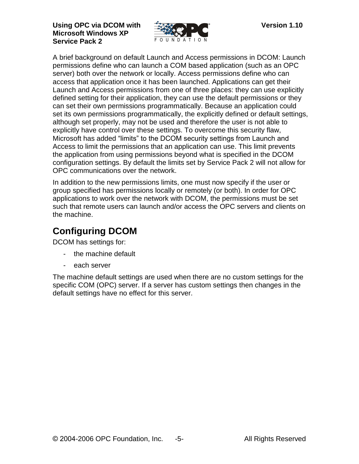

A brief background on default Launch and Access permissions in DCOM: Launch permissions define who can launch a COM based application (such as an OPC server) both over the network or locally. Access permissions define who can access that application once it has been launched. Applications can get their Launch and Access permissions from one of three places: they can use explicitly defined setting for their application, they can use the default permissions or they can set their own permissions programmatically. Because an application could set its own permissions programmatically, the explicitly defined or default settings, although set properly, may not be used and therefore the user is not able to explicitly have control over these settings. To overcome this security flaw, Microsoft has added "limits" to the DCOM security settings from Launch and Access to limit the permissions that an application can use. This limit prevents the application from using permissions beyond what is specified in the DCOM configuration settings. By default the limits set by Service Pack 2 will not allow for OPC communications over the network.

In addition to the new permissions limits, one must now specify if the user or group specified has permissions locally or remotely (or both). In order for OPC applications to work over the network with DCOM, the permissions must be set such that remote users can launch and/or access the OPC servers and clients on the machine.

# **Configuring DCOM**

DCOM has settings for:

- the machine default
- each server

The machine default settings are used when there are no custom settings for the specific COM (OPC) server. If a server has custom settings then changes in the default settings have no effect for this server.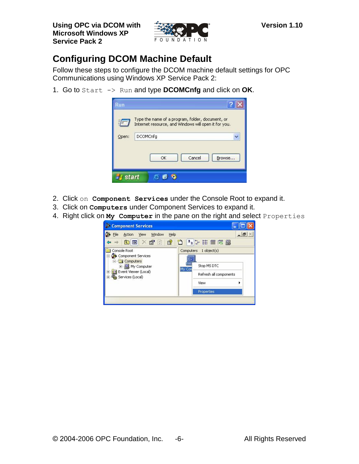

## **Configuring DCOM Machine Default**

Follow these steps to configure the DCOM machine default settings for OPC Communications using Windows XP Service Pack 2:

1. Go to Start -> Run and type **DCOMCnfg** and click on **OK**.

| Run   |                                                                                                          |
|-------|----------------------------------------------------------------------------------------------------------|
|       | Type the name of a program, folder, document, or<br>Internet resource, and Windows will open it for you. |
| Open: | <b>DCOMCnfg</b>                                                                                          |
|       | Cancel<br>OK<br>Browse                                                                                   |
|       | start                                                                                                    |

- 2. Click on **Component Services** under the Console Root to expand it.
- 3. Click on **Computers** under Component Services to expand it.
- 4. Right click on **My Computer** in the pane on the right and select Properties

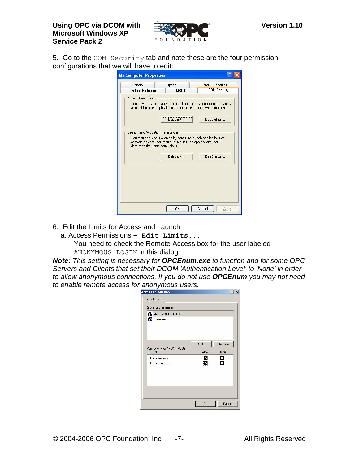

5. Go to the COM Security tab and note these are the four permission configurations that we will have to edit:

| General                           | Options                                                                                                                            | Default Properties                                                                                                                           |
|-----------------------------------|------------------------------------------------------------------------------------------------------------------------------------|----------------------------------------------------------------------------------------------------------------------------------------------|
| Default Protocols                 | MSDTC                                                                                                                              | <b>COM Security</b>                                                                                                                          |
| Access Permissions                |                                                                                                                                    | You may edit who is allowed default access to applications. You may<br>also set limits on applications that determine their own permissions. |
|                                   | Edit Limits                                                                                                                        | Edit Default                                                                                                                                 |
| Launch and Activation Permissions |                                                                                                                                    |                                                                                                                                              |
|                                   |                                                                                                                                    |                                                                                                                                              |
| determine their own permissions.  | You may edit who is allowed by default to launch applications or<br>activate objects. You may also set limits on applications that |                                                                                                                                              |
|                                   | Edit Limits                                                                                                                        | Edit Default                                                                                                                                 |
|                                   |                                                                                                                                    |                                                                                                                                              |
|                                   |                                                                                                                                    |                                                                                                                                              |

- 6. Edit the Limits for Access and Launch
	- a. Access Permissions **ñ Edit Limits...**

You need to check the Remote Access box for the user labeled ANONYMOUS LOGIN in this dialog.

**Note:** This setting is necessary for **OPCEnum.exe** to function and for some OPC Servers and Clients that set their DCOM 'Authentication Level' to 'None' in order to allow anonymous connections. If you do not use **OPCEnum** you may not need to enable remote access for anonymous users.

| <b>Access Permission</b><br>Security Limits       |       | ? x    |
|---------------------------------------------------|-------|--------|
| Group or user names:<br><b>12</b> ANONYMOUS LOGON |       |        |
| <b>E</b> veryone                                  |       |        |
|                                                   |       |        |
| Permissions for ANONYMOUS                         | Add   | Remove |
| <b>LOGON</b>                                      | Allow | Deny   |
| Local Access                                      | ⊽     | п<br>п |
|                                                   |       |        |
| <b>Remote Access</b>                              | ☑     |        |
|                                                   |       |        |
|                                                   |       |        |
|                                                   |       |        |
|                                                   |       |        |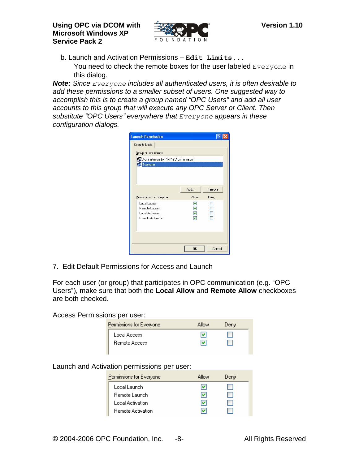

b. Launch and Activation Permissions – **Edit** Limits...

You need to check the remote boxes for the user labeled Everyone in this dialog.

**Note:** Since *Everyone includes all authenticated users, it is often desirable to<br>add these permissions to a smaller subset of users. One suggested way to<br>accomplish this is to create a group named "OPC Users" and add all* add these permissions to a smaller subset of users. One suggested way to accounts to this group that will execute any OPC Server or Client. Then accomplish this is to create a group named "OPC Users" and add all user<br>accounts to this group that will execute any OPC Server or Client. Then<br>substitute "OPC Users" everywhere that *Everyone* appears in these configuration dialogs.

| 22 Administrators (WINXP-2\Administrators)<br><b>Exercise</b> |                                  |        |
|---------------------------------------------------------------|----------------------------------|--------|
|                                                               | Add                              | Remove |
| Permissions for Everyone<br>Local Launch                      | Allow<br>$\overline{\mathsf{v}}$ | Deny   |
| Remote Launch                                                 |                                  |        |
| Local Activation                                              |                                  |        |
| Remote Activation                                             |                                  |        |

7. Edit Default Permissions for Access and Launch

For each user (or group) that participates in OPC communication (e.g. "OPC Usersî), make sure that both the **Local Allow** and **Remote Allow** checkboxes are both checked.

Access Permissions per user:

| Permissions for Everyone      | Allow | Deny |  |
|-------------------------------|-------|------|--|
| Local Access<br>Remote Access |       |      |  |
|                               |       |      |  |

Launch and Activation permissions per user:

| Permissions for Everyone | Allow | Deny |
|--------------------------|-------|------|
| Local Launch             | M     |      |
| Remote Launch            | M     |      |
| Local Activation.        | M     |      |
| <b>Remote Activation</b> | v     |      |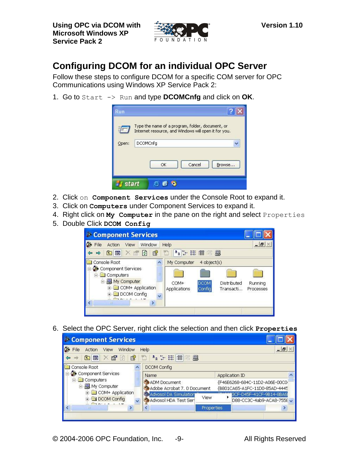

# **Configuring DCOM for an individual OPC Server**

Follow these steps to configure DCOM for a specific COM server for OPC Communications using Windows XP Service Pack 2:

1. Go to Start -> Run and type **DCOMCnfg** and click on **OK**.

| Run   |                                                                                                          |
|-------|----------------------------------------------------------------------------------------------------------|
|       | Type the name of a program, folder, document, or<br>Internet resource, and Windows will open it for you. |
| Open: | <b>DCOMCnfg</b>                                                                                          |
|       | Cancel<br>OK<br>Browse                                                                                   |
| start |                                                                                                          |

- 2. Click on **Component Services** under the Console Root to expand it.
- 3. Click on **Computers** under Component Services to expand it.
- 4. Right click on **My Computer** in the pane on the right and select Properties
- 5. Double Click **DCOM Config**

| Component Services                                                                                                                                                                                                                                                                                                                                                                                                                                                                                                                                                                                                   |                                                                                         |                      |
|----------------------------------------------------------------------------------------------------------------------------------------------------------------------------------------------------------------------------------------------------------------------------------------------------------------------------------------------------------------------------------------------------------------------------------------------------------------------------------------------------------------------------------------------------------------------------------------------------------------------|-----------------------------------------------------------------------------------------|----------------------|
| Action<br>View<br>Window<br>File                                                                                                                                                                                                                                                                                                                                                                                                                                                                                                                                                                                     | Help                                                                                    | $ \theta$            |
| EX<br>回<br>圍<br>ぽ<br>⇨                                                                                                                                                                                                                                                                                                                                                                                                                                                                                                                                                                                               | $\frac{1}{2}$<br>器术重身<br>$\frac{a}{2}$                                                  |                      |
| Console Root                                                                                                                                                                                                                                                                                                                                                                                                                                                                                                                                                                                                         | 4 object(s)<br>My Computer                                                              |                      |
| Component Services<br>Ė<br>$\equiv$<br><b>E</b> Computers<br>白 <b>图 My Computer</b><br>COM+ Application<br>DCOM Confiq<br>$\ddotmark$<br>$\frac{1}{\sqrt{2}}\left( \frac{1}{\sqrt{2}}\right) \left( \frac{1}{\sqrt{2}}\right) \left( \frac{1}{\sqrt{2}}\right) \left( \frac{1}{\sqrt{2}}\right) \left( \frac{1}{\sqrt{2}}\right) \left( \frac{1}{\sqrt{2}}\right) \left( \frac{1}{\sqrt{2}}\right) \left( \frac{1}{\sqrt{2}}\right) \left( \frac{1}{\sqrt{2}}\right) \left( \frac{1}{\sqrt{2}}\right) \left( \frac{1}{\sqrt{2}}\right) \left( \frac{1}{\sqrt{2}}\right) \left( \frac{1}{\sqrt{2}}\right) \left$<br>W | <b>DCOM</b><br><b>Distributed</b><br>COM+<br>Applications<br><b>Config</b><br>Transacti | Running<br>Processes |
|                                                                                                                                                                                                                                                                                                                                                                                                                                                                                                                                                                                                                      |                                                                                         |                      |

6. Select the OPC Server, right click the selection and then click **Properties**

| Component Services                                                         |                                                       |                                                                 |
|----------------------------------------------------------------------------|-------------------------------------------------------|-----------------------------------------------------------------|
| View<br><b>Action</b><br>Window<br>File                                    | Help                                                  | $  σ $                                                          |
| $ \times$ of $\circ$<br>$B$ 0<br>白田                                        | <b>* : # # 9</b>                                      |                                                                 |
| Console Root                                                               | <b>DCOM Config</b>                                    |                                                                 |
| Component Services                                                         | Name                                                  | Application ID                                                  |
| <b>E</b> Computers<br>白 <b>鸟</b> My Computer                               | ADM Document<br>Adobe Acrobat 7. 0 Document           | {F46E6268-684C-11D2-A06E-00C0}<br>{B801CA65-A1FC-11D0-85AD-4445 |
| COM+ Application<br>DCOM Config<br>$\ddotmark$<br><b>Construction</b> Land | Advosol DA Simulation<br>View<br>Advosol HDA Test Ser | 3CF-D45F-41CF-9B14-8BA6<br>D88-CC3C-4ab9-ACA8-7558              |
|                                                                            | <b>Properties</b>                                     |                                                                 |
|                                                                            |                                                       |                                                                 |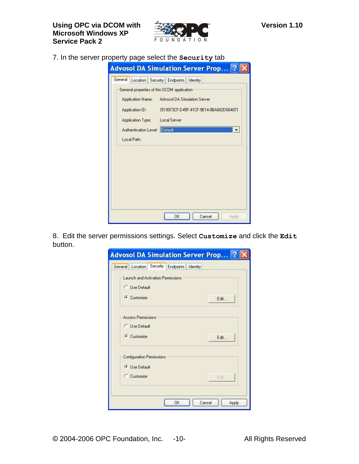

7. In the server property page select the **Security** tab

| <b>Advosol DA Simulation Server Prop</b>                                                                                                                                                                                                                                                                           |
|--------------------------------------------------------------------------------------------------------------------------------------------------------------------------------------------------------------------------------------------------------------------------------------------------------------------|
| General<br>Location   Security   Endpoints  <br>Identity<br>General properties of this DCOM application<br>Application Name: Advosol DA Simulation Server<br>{519973CF-D45F-41CF-9B14-8BA682D66407}<br>Application ID:<br><b>Local Server</b><br>Application Type:<br>Authentication Level: Default<br>Local Path: |
| OK<br>Cancel<br>Apply                                                                                                                                                                                                                                                                                              |

8. Edit the server permissions settings. Select **Customize** and click the **Edit** button.

| Location<br>General  | Security                          | Endpoints | <b>Identity</b> |      |  |
|----------------------|-----------------------------------|-----------|-----------------|------|--|
|                      |                                   |           |                 |      |  |
|                      | Launch and Activation Permissions |           |                 |      |  |
| <b>C</b> Use Default |                                   |           |                 |      |  |
|                      |                                   |           |                 |      |  |
| Customize            |                                   |           |                 | Edit |  |
| C Customize          |                                   |           |                 | Edit |  |
|                      | <b>Configuration Permissions</b>  |           |                 |      |  |
|                      |                                   |           |                 |      |  |
| <b>C</b> Use Default |                                   |           |                 |      |  |
| C Customize          |                                   |           |                 | Edit |  |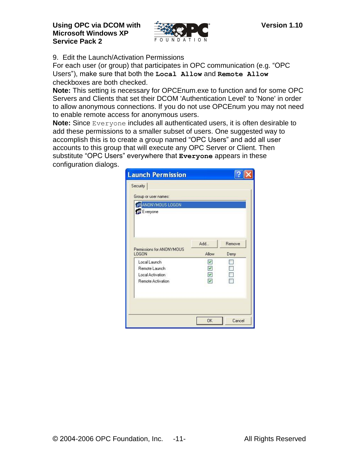

9. Edit the Launch/Activation Permissions

Journed Planch<br>9. Edit the Launch/Activation Permissions<br>For each user (or group) that participates in OPC communication (e.g. "OPC 9. Edit the Launch/Activation Permissions<br>For each user (or group) that participates in OPC communication (e.g. "OPC<br>Users"), make sure that both the **Local Allow** and Remote Allow checkboxes are both checked.

**Note:** This setting is necessary for OPCEnum.exe to function and for some OPC Servers and Clients that set their DCOM 'Authentication Level' to 'None' in order to allow anonymous connections. If you do not use OPCEnum you may not need to enable remote access for anonymous users.

**Note:** Since Everyone includes all authenticated users, it is often desirable to add these permissions to a smaller subset of users. One suggested way to **Note:** Since Everyone includes all authenticated users, it is often desirable to<br>add these permissions to a smaller subset of users. One suggested way to<br>accomplish this is to create a group named "OPC Users" and add all accounts to this group that will execute any OPC Server or Client. Then accomplish this is to create a group named "OPC Users" and add all user<br>accounts to this group that will execute any OPC Server or Client. Then<br>substitute "OPC Users" everywhere that **Everyone** appears in these configuration dialogs.

| Add                       | Remove |
|---------------------------|--------|
| Allow                     | Deny   |
| $\blacktriangledown$<br>⊽ |        |
|                           | ⊽      |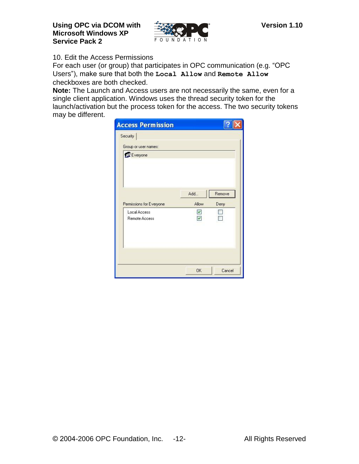

10. Edit the Access Permissions

For ever that L<br>10. Edit the Access Permissions<br>For each user (or group) that participates in OPC communication (e.g. "OPC 10. Edit the Access Permissions<br>For each user (or group) that participates in OPC communication (e.g. "OPC<br>Users"), make sure that both the Local Allow and Remote Allow checkboxes are both checked.

**Note:** The Launch and Access users are not necessarily the same, even for a single client application. Windows uses the thread security token for the launch/activation but the process token for the access. The two security tokens may be different.

| <b>Access Permission</b> |                      |        |
|--------------------------|----------------------|--------|
| Security                 |                      |        |
| Group or user names:     |                      |        |
| <b>E</b> veryone         |                      |        |
|                          |                      |        |
|                          |                      |        |
|                          |                      |        |
|                          | Add                  | Remove |
| Permissions for Everyone | Allow                | Deny   |
| Local Access             | $\blacktriangledown$ |        |
| <b>Remote Access</b>     | ⊽                    |        |
|                          |                      |        |
|                          |                      |        |
|                          |                      |        |
|                          |                      |        |
|                          |                      |        |
|                          | <b>OK</b>            | Cancel |